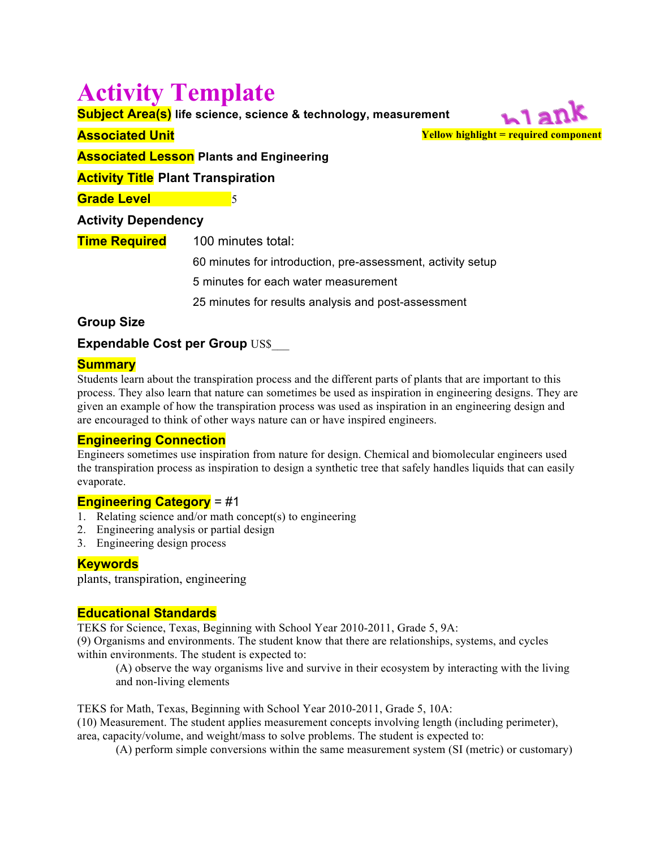# **Activity Template**

**Subject Area(s) life science, science & technology, measurement**

## **Associated Unit**

**Yellow highlight = required component**

**Associated Lesson Plants and Engineering**

## **Activity Title Plant Transpiration**

**Grade Level** 5

## **Activity Dependency**

| <u>Time Required</u> | 100 minutes total:                                          |
|----------------------|-------------------------------------------------------------|
|                      | 60 minutes for introduction, pre-assessment, activity setup |
|                      | 5 minutes for each water measurement                        |
|                      | 25 minutes for results analysis and post-assessment         |

# **Group Size**

**Expendable Cost per Group US\$** 

## **Summary**

Students learn about the transpiration process and the different parts of plants that are important to this process. They also learn that nature can sometimes be used as inspiration in engineering designs. They are given an example of how the transpiration process was used as inspiration in an engineering design and are encouraged to think of other ways nature can or have inspired engineers.

## **Engineering Connection**

Engineers sometimes use inspiration from nature for design. Chemical and biomolecular engineers used the transpiration process as inspiration to design a synthetic tree that safely handles liquids that can easily evaporate.

# **Engineering Category** = #1

- 1. Relating science and/or math concept(s) to engineering
- 2. Engineering analysis or partial design
- 3. Engineering design process

## **Keywords**

plants, transpiration, engineering

## **Educational Standards**

TEKS for Science, Texas, Beginning with School Year 2010-2011, Grade 5, 9A:

(9) Organisms and environments. The student know that there are relationships, systems, and cycles within environments. The student is expected to:

(A) observe the way organisms live and survive in their ecosystem by interacting with the living and non-living elements

TEKS for Math, Texas, Beginning with School Year 2010-2011, Grade 5, 10A: (10) Measurement. The student applies measurement concepts involving length (including perimeter), area, capacity/volume, and weight/mass to solve problems. The student is expected to:

(A) perform simple conversions within the same measurement system (SI (metric) or customary)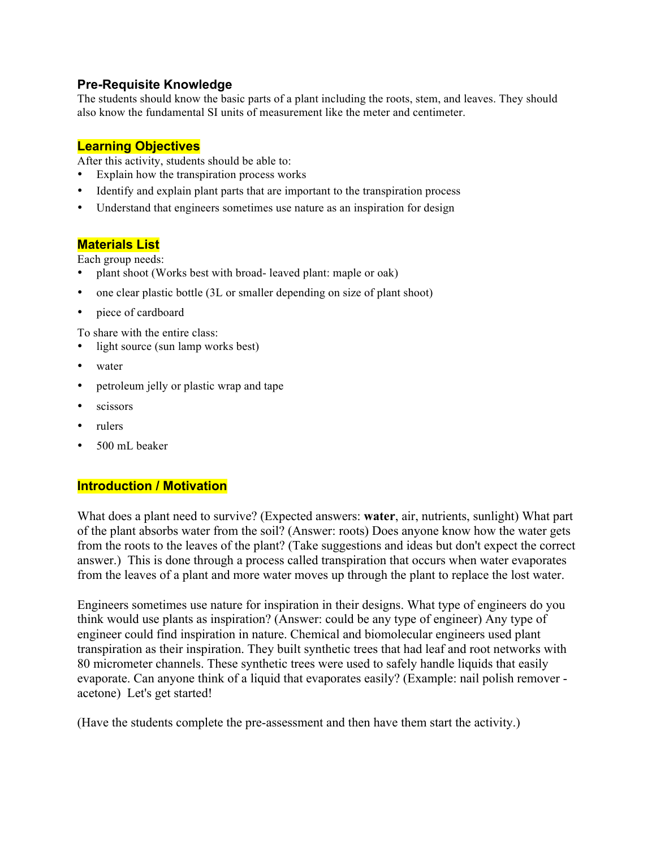## **Pre-Requisite Knowledge**

The students should know the basic parts of a plant including the roots, stem, and leaves. They should also know the fundamental SI units of measurement like the meter and centimeter.

## **Learning Objectives**

After this activity, students should be able to:

- Explain how the transpiration process works
- Identify and explain plant parts that are important to the transpiration process
- Understand that engineers sometimes use nature as an inspiration for design

## **Materials List**

Each group needs:

- plant shoot (Works best with broad- leaved plant: maple or oak)
- one clear plastic bottle (3L or smaller depending on size of plant shoot)
- piece of cardboard

To share with the entire class:

- light source (sun lamp works best)
- water
- petroleum jelly or plastic wrap and tape
- scissors
- rulers
- 500 mL beaker

## **Introduction / Motivation**

What does a plant need to survive? (Expected answers: **water**, air, nutrients, sunlight) What part of the plant absorbs water from the soil? (Answer: roots) Does anyone know how the water gets from the roots to the leaves of the plant? (Take suggestions and ideas but don't expect the correct answer.) This is done through a process called transpiration that occurs when water evaporates from the leaves of a plant and more water moves up through the plant to replace the lost water.

Engineers sometimes use nature for inspiration in their designs. What type of engineers do you think would use plants as inspiration? (Answer: could be any type of engineer) Any type of engineer could find inspiration in nature. Chemical and biomolecular engineers used plant transpiration as their inspiration. They built synthetic trees that had leaf and root networks with 80 micrometer channels. These synthetic trees were used to safely handle liquids that easily evaporate. Can anyone think of a liquid that evaporates easily? (Example: nail polish remover acetone) Let's get started!

(Have the students complete the pre-assessment and then have them start the activity.)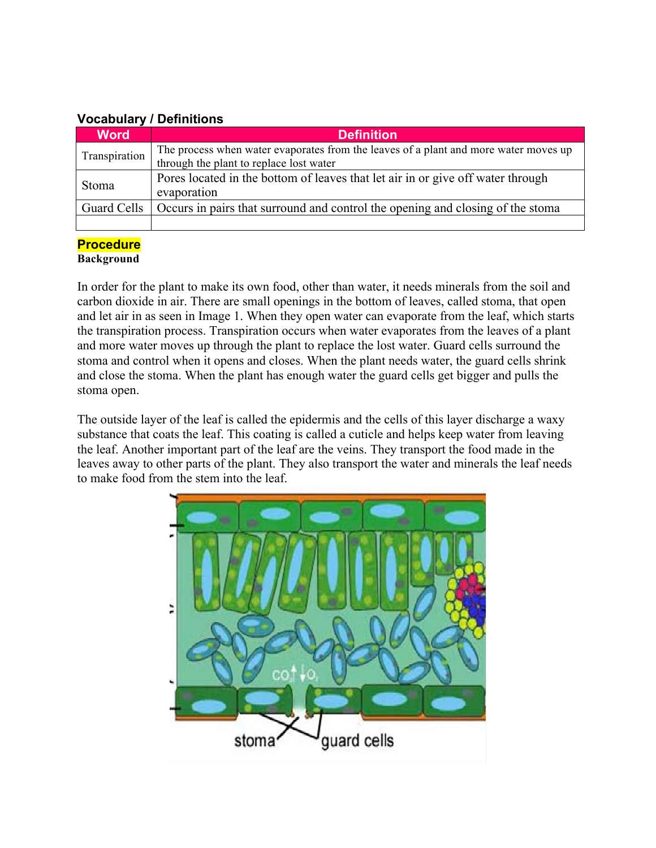# **Vocabulary / Definitions**

| <b>Word</b>   | <b>Definition</b>                                                                    |
|---------------|--------------------------------------------------------------------------------------|
| Transpiration | The process when water evaporates from the leaves of a plant and more water moves up |
|               | through the plant to replace lost water                                              |
| <b>Stoma</b>  | Pores located in the bottom of leaves that let air in or give off water through      |
|               | evaporation                                                                          |
| Guard Cells   | Occurs in pairs that surround and control the opening and closing of the stoma       |
|               |                                                                                      |

# **Procedure**

**Background**

In order for the plant to make its own food, other than water, it needs minerals from the soil and carbon dioxide in air. There are small openings in the bottom of leaves, called stoma, that open and let air in as seen in Image 1. When they open water can evaporate from the leaf, which starts the transpiration process. Transpiration occurs when water evaporates from the leaves of a plant and more water moves up through the plant to replace the lost water. Guard cells surround the stoma and control when it opens and closes. When the plant needs water, the guard cells shrink and close the stoma. When the plant has enough water the guard cells get bigger and pulls the stoma open.

The outside layer of the leaf is called the epidermis and the cells of this layer discharge a waxy substance that coats the leaf. This coating is called a cuticle and helps keep water from leaving the leaf. Another important part of the leaf are the veins. They transport the food made in the leaves away to other parts of the plant. They also transport the water and minerals the leaf needs to make food from the stem into the leaf.

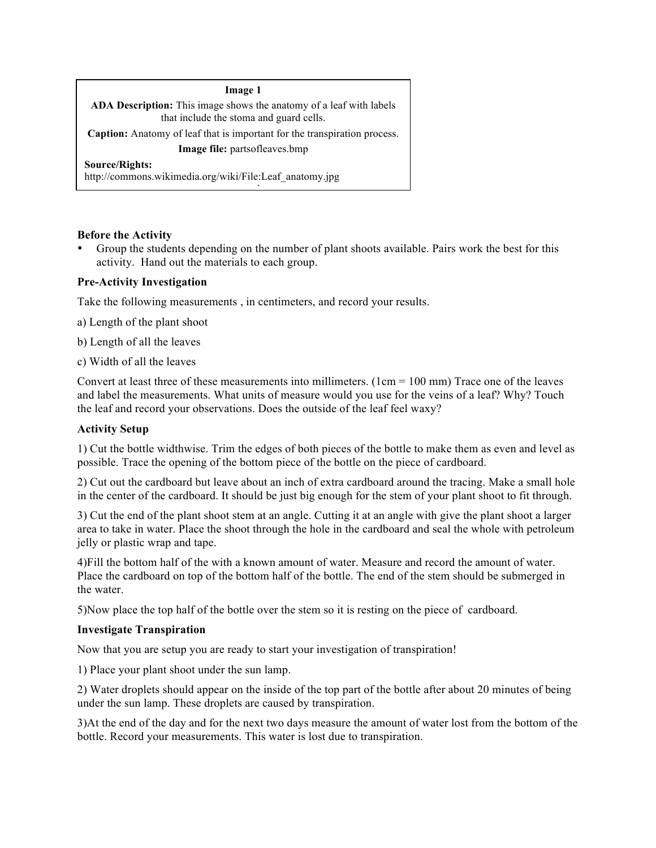#### **Image 1**

**ADA Description:** This image shows the anatomy of a leaf with labels that include the stoma and guard cells.

**Caption:** Anatomy of leaf that is important for the transpiration process. **Image file:** partsofleaves.bmp

reserved.

**Source/Rights:**

http://commons.wikimedia.org/wiki/File:Leaf\_anatomy.jpg

#### **Before the Activity**

• Group the students depending on the number of plant shoots available. Pairs work the best for this activity. Hand out the materials to each group.

#### **Pre-Activity Investigation**

Take the following measurements , in centimeters, and record your results.

a) Length of the plant shoot

b) Length of all the leaves

c) Width of all the leaves

Convert at least three of these measurements into millimeters.  $(1cm = 100 \text{ mm})$  Trace one of the leaves and label the measurements. What units of measure would you use for the veins of a leaf? Why? Touch the leaf and record your observations. Does the outside of the leaf feel waxy?

#### **Activity Setup**

1) Cut the bottle widthwise. Trim the edges of both pieces of the bottle to make them as even and level as possible. Trace the opening of the bottom piece of the bottle on the piece of cardboard.

2) Cut out the cardboard but leave about an inch of extra cardboard around the tracing. Make a small hole in the center of the cardboard. It should be just big enough for the stem of your plant shoot to fit through.

3) Cut the end of the plant shoot stem at an angle. Cutting it at an angle with give the plant shoot a larger area to take in water. Place the shoot through the hole in the cardboard and seal the whole with petroleum jelly or plastic wrap and tape.

4)Fill the bottom half of the with a known amount of water. Measure and record the amount of water. Place the cardboard on top of the bottom half of the bottle. The end of the stem should be submerged in the water.

5)Now place the top half of the bottle over the stem so it is resting on the piece of cardboard.

#### **Investigate Transpiration**

Now that you are setup you are ready to start your investigation of transpiration!

1) Place your plant shoot under the sun lamp.

2) Water droplets should appear on the inside of the top part of the bottle after about 20 minutes of being under the sun lamp. These droplets are caused by transpiration.

3)At the end of the day and for the next two days measure the amount of water lost from the bottom of the bottle. Record your measurements. This water is lost due to transpiration.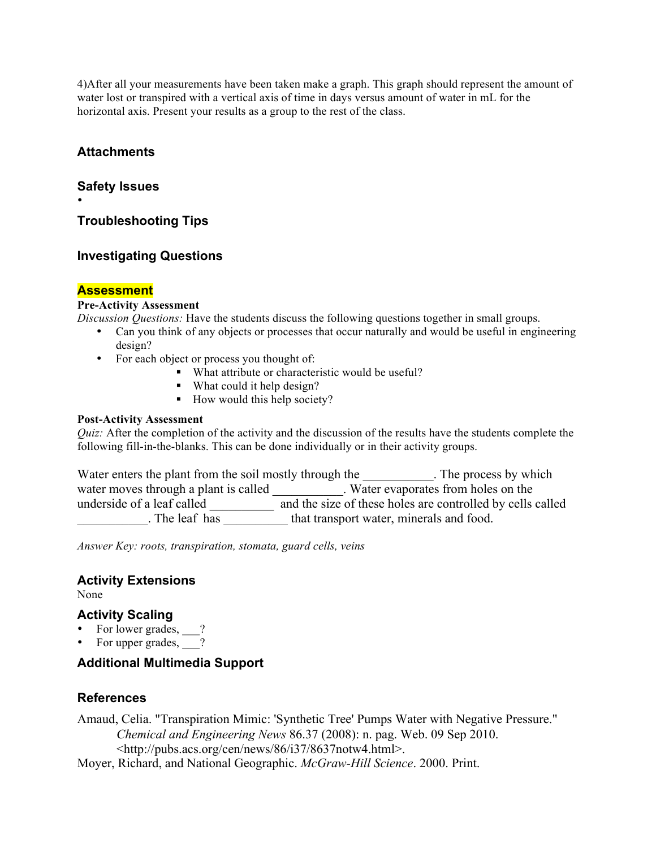4)After all your measurements have been taken make a graph. This graph should represent the amount of water lost or transpired with a vertical axis of time in days versus amount of water in mL for the horizontal axis. Present your results as a group to the rest of the class.

## **Attachments**

### **Safety Issues**

•

**Troubleshooting Tips**

## **Investigating Questions**

## **Assessment**

#### **Pre-Activity Assessment**

*Discussion Questions:* Have the students discuss the following questions together in small groups.

- Can you think of any objects or processes that occur naturally and would be useful in engineering design?
- For each object or process you thought of:
	- What attribute or characteristic would be useful?
	- What could it help design?
		- How would this help society?

#### **Post-Activity Assessment**

*Quiz:* After the completion of the activity and the discussion of the results have the students complete the following fill-in-the-blanks. This can be done individually or in their activity groups.

| Water enters the plant from the soil mostly through the | . The process by which                                     |
|---------------------------------------------------------|------------------------------------------------------------|
| water moves through a plant is called                   | Water evaporates from holes on the                         |
| underside of a leaf called                              | and the size of these holes are controlled by cells called |
| . The leaf has                                          | that transport water, minerals and food.                   |

*Answer Key: roots, transpiration, stomata, guard cells, veins*

## **Activity Extensions**

None

## **Activity Scaling**

- For lower grades, \_\_?
- For upper grades,  $\frac{1}{\sqrt{2}}$ ?

## **Additional Multimedia Support**

## **References**

Amaud, Celia. "Transpiration Mimic: 'Synthetic Tree' Pumps Water with Negative Pressure." *Chemical and Engineering News* 86.37 (2008): n. pag. Web. 09 Sep 2010. <http://pubs.acs.org/cen/news/86/i37/8637notw4.html>.

Moyer, Richard, and National Geographic. *McGraw-Hill Science*. 2000. Print.